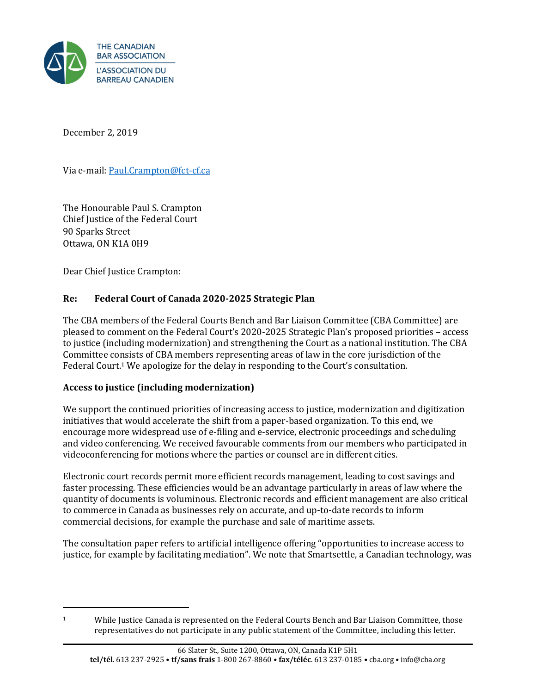

December 2, 2019

Via e-mail[: Paul.Crampton@fct-cf.ca](mailto:Paul.Crampton@fct-cf.ca)

The Honourable Paul S. Crampton Chief Justice of the Federal Court 90 Sparks Street Ottawa, ON K1A 0H9

Dear Chief Justice Crampton:

## **Re: Federal Court of Canada 2020-2025 Strategic Plan**

The CBA members of the Federal Courts Bench and Bar Liaison Committee (CBA Committee) are pleased to comment on the Federal Court's 2020-2025 Strategic Plan's proposed priorities – access to justice (including modernization) and strengthening the Court as a national institution. The CBA Committee consists of CBA members representing areas of law in the core jurisdiction of the Federal Court.<sup>1</sup> We apologize for the delay in responding to the Court's consultation.

### **Access to justice (including modernization)**

We support the continued priorities of increasing access to justice, modernization and digitization initiatives that would accelerate the shift from a paper-based organization. To this end, we encourage more widespread use of e-filing and e-service, electronic proceedings and scheduling and video conferencing. We received favourable comments from our members who participated in videoconferencing for motions where the parties or counsel are in different cities.

Electronic court records permit more efficient records management, leading to cost savings and faster processing. These efficiencies would be an advantage particularly in areas of law where the quantity of documents is voluminous. Electronic records and efficient management are also critical to commerce in Canada as businesses rely on accurate, and up-to-date records to inform commercial decisions, for example the purchase and sale of maritime assets.

The consultation paper refers to artificial intelligence offering "opportunities to increase access to justice, for example by facilitating mediation". We note that Smartsettle, a Canadian technology, was

<sup>&</sup>lt;sup>1</sup> While Justice Canada is represented on the Federal Courts Bench and Bar Liaison Committee, those representatives do not participate in any public statement of the Committee, including this letter.